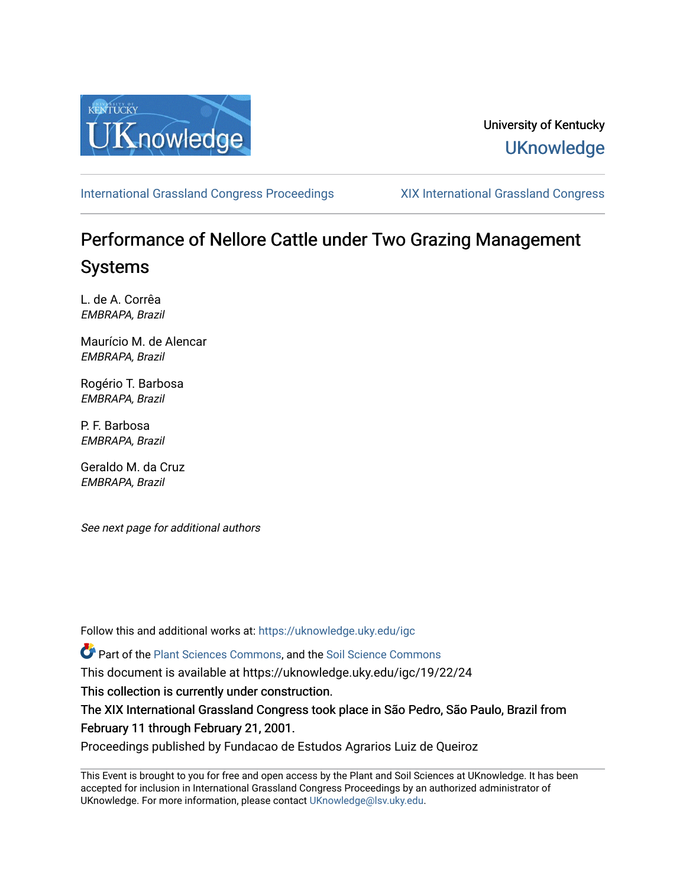

## University of Kentucky **UKnowledge**

[International Grassland Congress Proceedings](https://uknowledge.uky.edu/igc) [XIX International Grassland Congress](https://uknowledge.uky.edu/igc/19) 

# Performance of Nellore Cattle under Two Grazing Management Systems

L. de A. Corrêa EMBRAPA, Brazil

Maurício M. de Alencar EMBRAPA, Brazil

Rogério T. Barbosa EMBRAPA, Brazil

P. F. Barbosa EMBRAPA, Brazil

Geraldo M. da Cruz EMBRAPA, Brazil

See next page for additional authors

Follow this and additional works at: [https://uknowledge.uky.edu/igc](https://uknowledge.uky.edu/igc?utm_source=uknowledge.uky.edu%2Figc%2F19%2F22%2F24&utm_medium=PDF&utm_campaign=PDFCoverPages) 

Part of the [Plant Sciences Commons](http://network.bepress.com/hgg/discipline/102?utm_source=uknowledge.uky.edu%2Figc%2F19%2F22%2F24&utm_medium=PDF&utm_campaign=PDFCoverPages), and the [Soil Science Commons](http://network.bepress.com/hgg/discipline/163?utm_source=uknowledge.uky.edu%2Figc%2F19%2F22%2F24&utm_medium=PDF&utm_campaign=PDFCoverPages) 

This document is available at https://uknowledge.uky.edu/igc/19/22/24

This collection is currently under construction.

The XIX International Grassland Congress took place in São Pedro, São Paulo, Brazil from February 11 through February 21, 2001.

Proceedings published by Fundacao de Estudos Agrarios Luiz de Queiroz

This Event is brought to you for free and open access by the Plant and Soil Sciences at UKnowledge. It has been accepted for inclusion in International Grassland Congress Proceedings by an authorized administrator of UKnowledge. For more information, please contact [UKnowledge@lsv.uky.edu](mailto:UKnowledge@lsv.uky.edu).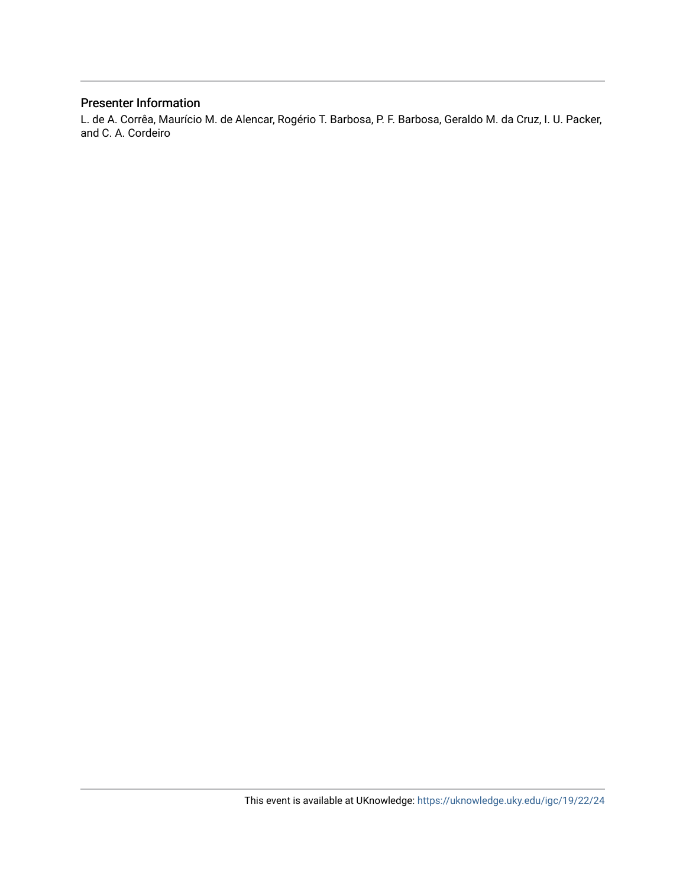### Presenter Information

L. de A. Corrêa, Maurício M. de Alencar, Rogério T. Barbosa, P. F. Barbosa, Geraldo M. da Cruz, I. U. Packer, and C. A. Cordeiro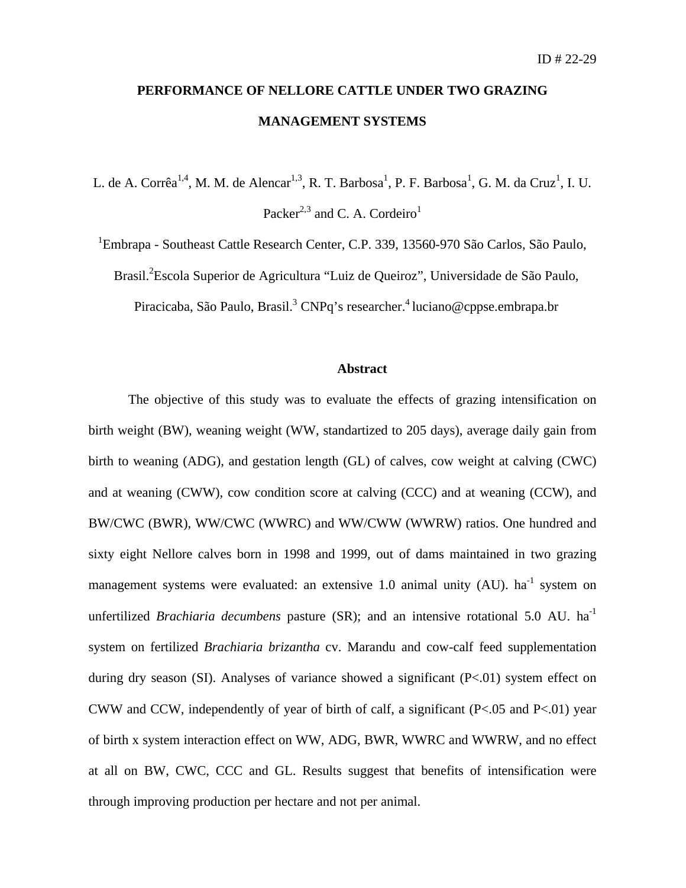## **PERFORMANCE OF NELLORE CATTLE UNDER TWO GRAZING MANAGEMENT SYSTEMS**

L. de A. Corrêa<sup>1,4</sup>, M. M. de Alencar<sup>1,3</sup>, R. T. Barbosa<sup>1</sup>, P. F. Barbosa<sup>1</sup>, G. M. da Cruz<sup>1</sup>, I. U. Packer<sup>2,3</sup> and C. A. Cordeiro<sup>1</sup>

<sup>1</sup>Embrapa - Southeast Cattle Research Center, C.P. 339, 13560-970 São Carlos, São Paulo,

Brasil.<sup>2</sup> Escola Superior de Agricultura "Luiz de Queiroz", Universidade de São Paulo,

Piracicaba, São Paulo, Brasil.<sup>3</sup> CNPq's researcher.<sup>4</sup> luciano@cppse.embrapa.br

#### **Abstract**

The objective of this study was to evaluate the effects of grazing intensification on birth weight (BW), weaning weight (WW, standartized to 205 days), average daily gain from birth to weaning (ADG), and gestation length (GL) of calves, cow weight at calving (CWC) and at weaning (CWW), cow condition score at calving (CCC) and at weaning (CCW), and BW/CWC (BWR), WW/CWC (WWRC) and WW/CWW (WWRW) ratios. One hundred and sixty eight Nellore calves born in 1998 and 1999, out of dams maintained in two grazing management systems were evaluated: an extensive 1.0 animal unity  $(AU)$ . ha<sup>-1</sup> system on unfertilized *Brachiaria decumbens* pasture (SR); and an intensive rotational 5.0 AU. ha<sup>-1</sup> system on fertilized *Brachiaria brizantha* cv. Marandu and cow-calf feed supplementation during dry season (SI). Analyses of variance showed a significant (P<.01) system effect on CWW and CCW, independently of year of birth of calf, a significant (P<.05 and P<.01) year of birth x system interaction effect on WW, ADG, BWR, WWRC and WWRW, and no effect at all on BW, CWC, CCC and GL. Results suggest that benefits of intensification were through improving production per hectare and not per animal.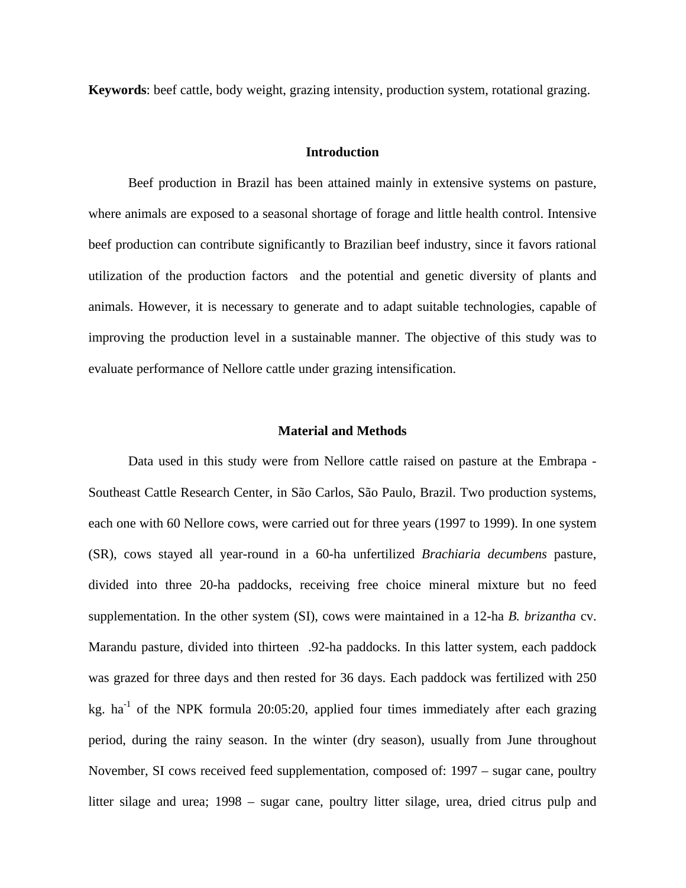**Keywords**: beef cattle, body weight, grazing intensity, production system, rotational grazing.

#### **Introduction**

Beef production in Brazil has been attained mainly in extensive systems on pasture, where animals are exposed to a seasonal shortage of forage and little health control. Intensive beef production can contribute significantly to Brazilian beef industry, since it favors rational utilization of the production factors and the potential and genetic diversity of plants and animals. However, it is necessary to generate and to adapt suitable technologies, capable of improving the production level in a sustainable manner. The objective of this study was to evaluate performance of Nellore cattle under grazing intensification.

#### **Material and Methods**

Data used in this study were from Nellore cattle raised on pasture at the Embrapa - Southeast Cattle Research Center, in São Carlos, São Paulo, Brazil. Two production systems, each one with 60 Nellore cows, were carried out for three years (1997 to 1999). In one system (SR), cows stayed all year-round in a 60-ha unfertilized *Brachiaria decumbens* pasture, divided into three 20-ha paddocks, receiving free choice mineral mixture but no feed supplementation. In the other system (SI), cows were maintained in a 12-ha *B. brizantha* cv. Marandu pasture, divided into thirteen .92-ha paddocks. In this latter system, each paddock was grazed for three days and then rested for 36 days. Each paddock was fertilized with 250 kg. ha<sup>-1</sup> of the NPK formula 20:05:20, applied four times immediately after each grazing period, during the rainy season. In the winter (dry season), usually from June throughout November, SI cows received feed supplementation, composed of: 1997 – sugar cane, poultry litter silage and urea; 1998 – sugar cane, poultry litter silage, urea, dried citrus pulp and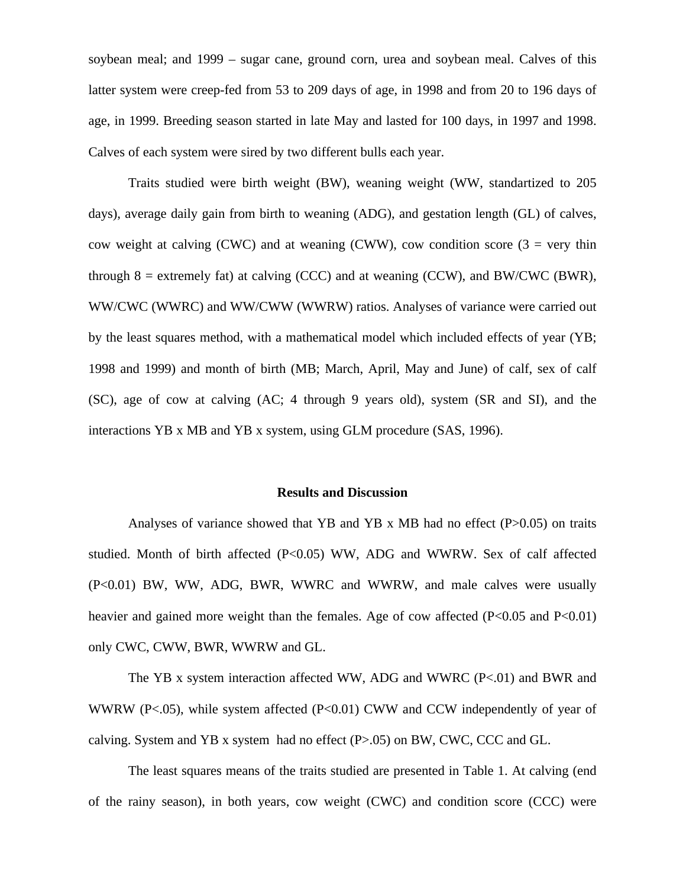soybean meal; and 1999 – sugar cane, ground corn, urea and soybean meal. Calves of this latter system were creep-fed from 53 to 209 days of age, in 1998 and from 20 to 196 days of age, in 1999. Breeding season started in late May and lasted for 100 days, in 1997 and 1998. Calves of each system were sired by two different bulls each year.

Traits studied were birth weight (BW), weaning weight (WW, standartized to 205 days), average daily gain from birth to weaning (ADG), and gestation length (GL) of calves, cow weight at calving (CWC) and at weaning (CWW), cow condition score  $(3 = \text{very thin})$ through  $8 =$  extremely fat) at calving (CCC) and at weaning (CCW), and BW/CWC (BWR), WW/CWC (WWRC) and WW/CWW (WWRW) ratios. Analyses of variance were carried out by the least squares method, with a mathematical model which included effects of year (YB; 1998 and 1999) and month of birth (MB; March, April, May and June) of calf, sex of calf (SC), age of cow at calving (AC; 4 through 9 years old), system (SR and SI), and the interactions YB x MB and YB x system, using GLM procedure (SAS, 1996).

#### **Results and Discussion**

Analyses of variance showed that YB and YB x MB had no effect  $(P>0.05)$  on traits studied. Month of birth affected (P<0.05) WW, ADG and WWRW. Sex of calf affected (P<0.01) BW, WW, ADG, BWR, WWRC and WWRW, and male calves were usually heavier and gained more weight than the females. Age of cow affected (P<0.05 and P<0.01) only CWC, CWW, BWR, WWRW and GL.

The YB x system interaction affected WW, ADG and WWRC (P<.01) and BWR and WWRW (P<.05), while system affected (P<0.01) CWW and CCW independently of year of calving. System and YB x system had no effect  $(P>0.05)$  on BW, CWC, CCC and GL.

The least squares means of the traits studied are presented in Table 1. At calving (end of the rainy season), in both years, cow weight (CWC) and condition score (CCC) were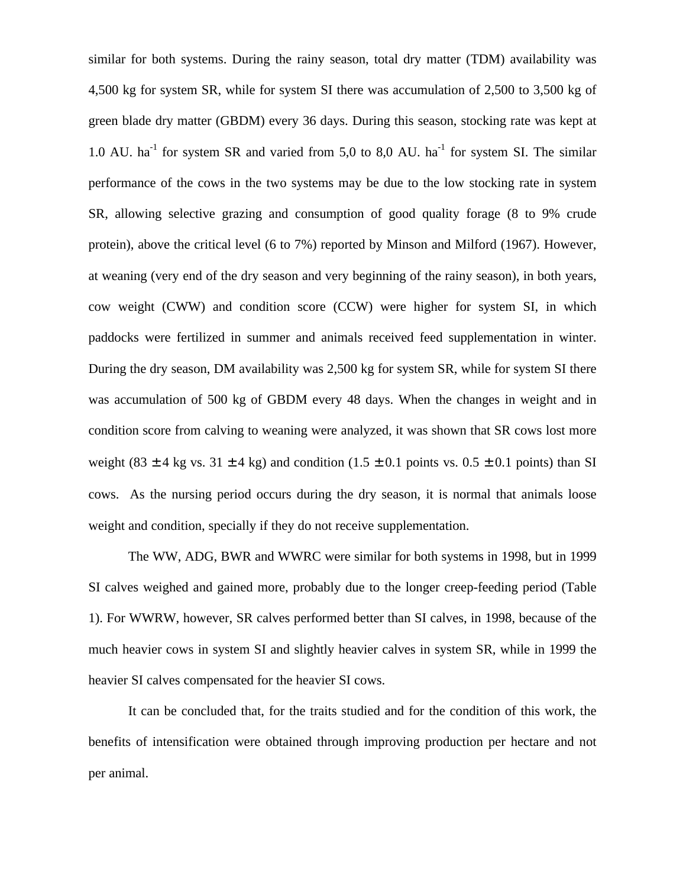similar for both systems. During the rainy season, total dry matter (TDM) availability was 4,500 kg for system SR, while for system SI there was accumulation of 2,500 to 3,500 kg of green blade dry matter (GBDM) every 36 days. During this season, stocking rate was kept at 1.0 AU.  $ha^{-1}$  for system SR and varied from 5,0 to 8,0 AU.  $ha^{-1}$  for system SI. The similar performance of the cows in the two systems may be due to the low stocking rate in system SR, allowing selective grazing and consumption of good quality forage (8 to 9% crude protein), above the critical level (6 to 7%) reported by Minson and Milford (1967). However, at weaning (very end of the dry season and very beginning of the rainy season), in both years, cow weight (CWW) and condition score (CCW) were higher for system SI, in which paddocks were fertilized in summer and animals received feed supplementation in winter. During the dry season, DM availability was 2,500 kg for system SR, while for system SI there was accumulation of 500 kg of GBDM every 48 days. When the changes in weight and in condition score from calving to weaning were analyzed, it was shown that SR cows lost more weight (83  $\pm$  4 kg vs. 31  $\pm$  4 kg) and condition (1.5  $\pm$  0.1 points vs. 0.5  $\pm$  0.1 points) than SI cows. As the nursing period occurs during the dry season, it is normal that animals loose weight and condition, specially if they do not receive supplementation.

The WW, ADG, BWR and WWRC were similar for both systems in 1998, but in 1999 SI calves weighed and gained more, probably due to the longer creep-feeding period (Table 1). For WWRW, however, SR calves performed better than SI calves, in 1998, because of the much heavier cows in system SI and slightly heavier calves in system SR, while in 1999 the heavier SI calves compensated for the heavier SI cows.

It can be concluded that, for the traits studied and for the condition of this work, the benefits of intensification were obtained through improving production per hectare and not per animal.